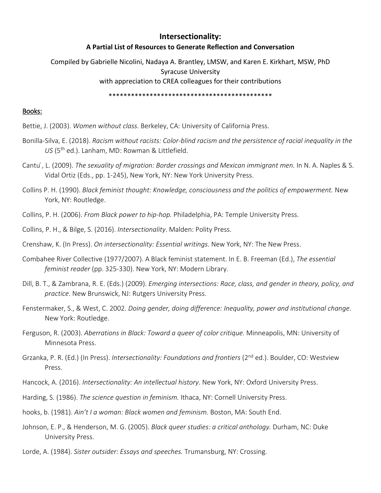# **Intersectionality:**

## **A Partial List of Resources to Generate Reflection and Conversation**

Compiled by Gabrielle Nicolini, Nadaya A. Brantley, LMSW, and Karen E. Kirkhart, MSW, PhD Syracuse University with appreciation to CREA colleagues for their contributions

\*\*\*\*\*\*\*\*\*\*\*\*\*\*\*\*\*\*\*\*\*\*\*\*\*\*\*\*\*\*\*\*\*\*\*\*\*\*\*\*\*\*\*\*

### Books:

- Bettie, J. (2003). *Women without class*. Berkeley, CA: University of California Press.
- Bonilla-Silva, E. (2018). *Racism without racists: Color-blind racism and the persistence of racial inequality in the*  US<sup>(5th</sup> ed.). Lanham, MD: Rowman & Littlefield.
- Cantu ́, L. (2009). *The sexuality of migration: Border crossings and Mexican immigrant men.* In N. A. Naples & S. Vidal Ortiz (Eds., pp. 1-245), New York, NY: New York University Press.
- Collins P. H. (1990). *Black feminist thought: Knowledge, consciousness and the politics of empowerment.* New York, NY: Routledge.
- Collins, P. H. (2006). *From Black power to hip-hop.* Philadelphia, PA: Temple University Press.
- Collins, P. H., & Bilge, S. (2016). *Intersectionality*. Malden: Polity Press.
- Crenshaw, K. (In Press). *On intersectionality: Essential writings*. New York, NY: The New Press.
- Combahee River Collective (1977/2007). A Black feminist statement. In E. B. Freeman (Ed.), *The essential feminist reader* (pp. 325-330). New York, NY: Modern Library.
- Dill, B. T., & Zambrana, R. E. (Eds.) (2009). *Emerging intersections: Race, class, and gender in theory, policy, and practice*. New Brunswick, NJ: Rutgers University Press.
- Fenstermaker, S., & West, C. 2002*. Doing gender, doing difference: Inequality, power and institutional change.* New York: Routledge.
- Ferguson, R. (2003). *Aberrations in Black: Toward a queer of color critique.* Minneapolis, MN: University of Minnesota Press.
- Grzanka, P. R. (Ed.) (In Press). *Intersectionality: Foundations and frontiers* (2<sup>nd</sup> ed.). Boulder, CO: Westview Press.
- Hancock, A. (2016). *Intersectionality: An intellectual history*. New York, NY: Oxford University Press.
- Harding, S. (1986). *The science question in feminism.* Ithaca, NY: Cornell University Press.
- hooks, b. (1981). *Ain't I a woman: Black women and feminism.* Boston, MA: South End.
- Johnson, E. P., & Henderson, M. G. (2005). *Black queer studies: a critical anthology.* Durham, NC: Duke University Press.
- Lorde, A. (1984). *Sister outsider: Essays and speeches.* Trumansburg, NY: Crossing.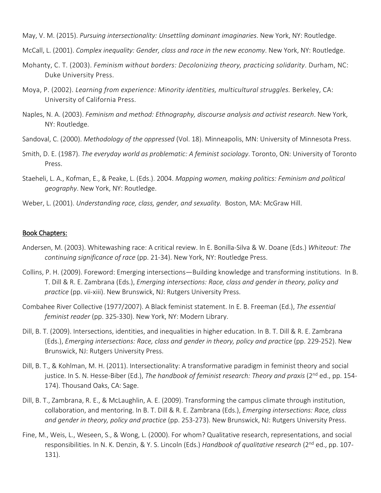May, V. M. (2015). *Pursuing intersectionality: Unsettling dominant imaginaries*. New York, NY: Routledge.

- McCall, L. (2001). *Complex inequality: Gender, class and race in the new economy*. New York, NY: Routledge.
- Mohanty, C. T. (2003). *Feminism without borders: Decolonizing theory, practicing solidarity*. Durham, NC: Duke University Press.
- Moya, P. (2002). *Learning from experience: Minority identities, multicultural struggles.* Berkeley, CA: University of California Press.
- Naples, N. A. (2003). *Feminism and method: Ethnography, discourse analysis and activist research*. New York, NY: Routledge.
- Sandoval, C. (2000). *Methodology of the oppressed* (Vol. 18). Minneapolis, MN: University of Minnesota Press.
- Smith, D. E. (1987). *The everyday world as problematic: A feminist sociology*. Toronto, ON: University of Toronto Press.
- Staeheli, L. A., Kofman, E., & Peake, L. (Eds.). 2004. *Mapping women, making politics: Feminism and political geography*. New York, NY: Routledge.
- Weber, L. (2001). *Understanding race, class, gender, and sexuality.* Boston, MA: McGraw Hill.

#### Book Chapters:

- Andersen, M. (2003). Whitewashing race: A critical review. In E. Bonilla-Silva & W. Doane (Eds.) *Whiteout: The continuing significance of race* (pp. 21-34). New York, NY: Routledge Press.
- Collins, P. H. (2009). Foreword: Emerging intersections—Building knowledge and transforming institutions. In B. T. Dill & R. E. Zambrana (Eds.), *Emerging intersections: Race, class and gender in theory, policy and practice* (pp. vii-xiii). New Brunswick, NJ: Rutgers University Press.
- Combahee River Collective (1977/2007). A Black feminist statement. In E. B. Freeman (Ed.), *The essential feminist reader* (pp. 325-330). New York, NY: Modern Library.
- Dill, B. T. (2009). Intersections, identities, and inequalities in higher education. In B. T. Dill & R. E. Zambrana (Eds.), *Emerging intersections: Race, class and gender in theory, policy and practice* (pp. 229-252). New Brunswick, NJ: Rutgers University Press.
- Dill, B. T., & Kohlman, M. H. (2011). Intersectionality: A transformative paradigm in feminist theory and social justice. In S. N. Hesse-Biber (Ed.), *The handbook of feminist research: Theory and praxis* (2<sup>nd</sup> ed., pp. 154-174). Thousand Oaks, CA: Sage.
- Dill, B. T., Zambrana, R. E., & McLaughlin, A. E. (2009). Transforming the campus climate through institution, collaboration, and mentoring. In B. T. Dill & R. E. Zambrana (Eds.), *Emerging intersections: Race, class and gender in theory, policy and practice* (pp. 253-273). New Brunswick, NJ: Rutgers University Press.
- Fine, M., Weis, L., Weseen, S., & Wong, L. (2000). For whom? Qualitative research, representations, and social responsibilities. In N. K. Denzin, & Y. S. Lincoln (Eds.) *Handbook of qualitative research* (2nd ed., pp. 107- 131).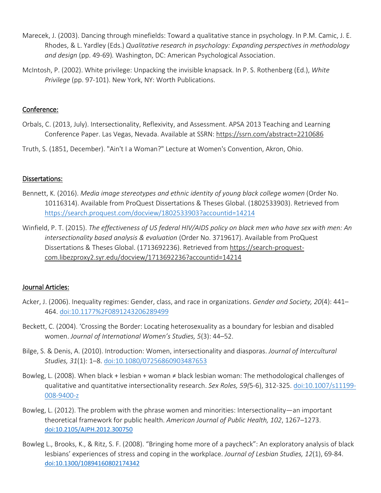- Marecek, J. (2003). Dancing through minefields: Toward a qualitative stance in psychology. In P.M. Camic, J. E. Rhodes, & L. Yardley (Eds.) *Qualitative research in psychology: Expanding perspectives in methodology and design* (pp. 49-69)*.* Washington, DC: American Psychological Association.
- McIntosh, P. (2002). White privilege: Unpacking the invisible knapsack. In P. S. Rothenberg (Ed.), *White Privilege* (pp. 97-101). New York, NY: Worth Publications.

## Conference:

- Orbals, C. (2013, July). Intersectionality, Reflexivity, and Assessment. APSA 2013 Teaching and Learning Conference Paper. Las Vegas, Nevada. Available at SSRN: <https://ssrn.com/abstract=2210686>
- Truth, S. (1851, December). "Ain't I a Woman?" Lecture at Women's Convention, Akron, Ohio.

## Dissertations:

- Bennett, K. (2016). *Media image stereotypes and ethnic identity of young black college women* (Order No. 10116314). Available from ProQuest Dissertations & Theses Global. (1802533903). Retrieved from <https://search.proquest.com/docview/1802533903?accountid=14214>
- Winfield, P. T. (2015). *The effectiveness of US federal HIV/AIDS policy on black men who have sex with men: An intersectionality based analysis & evaluation* (Order No. 3719617). Available from ProQuest Dissertations & Theses Global. (1713692236). Retrieved from [https://search-proquest](https://search-proquest-com.libezproxy2.syr.edu/docview/1713692236?accountid=14214)[com.libezproxy2.syr.edu/docview/1713692236?accountid=14214](https://search-proquest-com.libezproxy2.syr.edu/docview/1713692236?accountid=14214)

## Journal Articles:

- Acker, J. (2006). Inequality regimes: Gender, class, and race in organizations. *Gender and Society, 20*(4): 441– 464. [doi:10.1177%2F0891243206289499](https://doi.org/10.1177%2F0891243206289499)
- Beckett, C. (2004). 'Crossing the Border: Locating heterosexuality as a boundary for lesbian and disabled women. *Journal of International Women's Studies, 5*(3): 44–52.
- Bilge, S. & Denis, A. (2010). Introduction: Women, intersectionality and diasporas. *Journal of Intercultural Studies, 31*(1): 1–8. [doi:10.1080/07256860903487653](https://doi.org/10.1080/07256860903487653)
- Bowleg, L. (2008). When black + lesbian + woman ≠ black lesbian woman: The methodological challenges of qualitative and quantitative intersectionality research. *Sex Roles, 59(*5-6), 312-325[. doi:10.1007/s11199-](https://psycnet.apa.org/doi/10.1007/s11199-008-9400-z) [008-9400-z](https://psycnet.apa.org/doi/10.1007/s11199-008-9400-z)
- Bowleg, L. (2012). The problem with the phrase women and minorities: Intersectionality—an important theoretical framework for public health. *American Journal of Public Health, 102*, 1267–1273. [doi:10.2105/AJPH.2012.300750](https://ajph.aphapublications.org/doi/10.2105/AJPH.2012.300750)
- Bowleg L., Brooks, K., & Ritz, S. F. (2008). "Bringing home more of a paycheck": An exploratory analysis of black lesbians' experiences of stress and coping in the workplace. *Journal of Lesbian Studies, 12*(1), 69-84. [doi:10.1300/10894160802174342](https://www.tandfonline.com/doi/abs/10.1300/10894160802174342)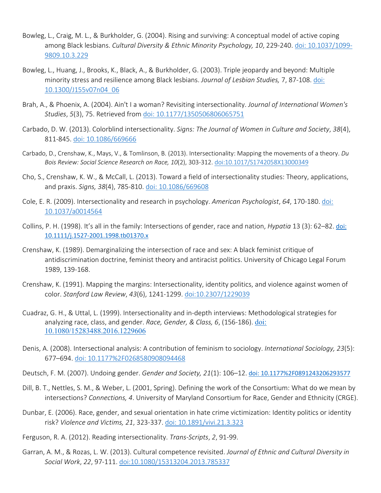- Bowleg, L., Craig, M. L., & Burkholder, G. (2004). Rising and surviving: A conceptual model of active coping among Black lesbians. *Cultural Diversity & Ethnic Minority Psychology, 10*, 229-240[. doi: 10.1037/1099-](https://www.researchgate.net/publication/8399401_Rising_and_surviving_A_conceptual_model_of_active_coping_among_Black_lesbians) [9809.10.3.229](https://www.researchgate.net/publication/8399401_Rising_and_surviving_A_conceptual_model_of_active_coping_among_Black_lesbians)
- Bowleg, L., Huang, J., Brooks, K., Black, A., & Burkholder, G. (2003). Triple jeopardy and beyond: Multiple minority stress and resilience among Black lesbians. *Journal of Lesbian Studies,* 7, 87-108. [doi:](https://doi.org/10.1300/J155v07n04_06)  [10.1300/J155v07n04\\_06](https://doi.org/10.1300/J155v07n04_06)
- Brah, A., & Phoenix, A. (2004). Ain't I a woman? Revisiting intersectionality. *Journal of International Women's Studies*, *5*(3), 75. Retrieved from [doi: 10.1177/1350506806065751](https://vc.bridgew.edu/cgi/viewcontent.cgi?article=1543&context=jiws)
- Carbado, D. W. (2013). Colorblind intersectionality. *Signs: The Journal of Women in Culture and Society*, *38*(4), 811-845. [doi: 10.1086/669666](https://www.journals.uchicago.edu/doi/10.1086/669666)
- Carbado, D., Crenshaw, K., Mays, V., & Tomlinson, B. (2013). Intersectionality: Mapping the movements of a theory. *Du Bois Review: Social Science Research on Race, 10*(2), 303-312. [doi:10.1017/S1742058X13000349](https://doi.org/10.1017/S1742058X13000349)
- Cho, S., Crenshaw, K. W., & McCall, L. (2013). Toward a field of intersectionality studies: Theory, applications, and praxis. *Signs, 38*(4), 785-810. [doi: 10.1086/669608](https://www.jstor.org/stable/10.1086/669608)
- Cole, E. R. (2009). Intersectionality and research in psychology. *American Psychologist*, *64*, 170-180. [doi:](https://pdfs.semanticscholar.org/45e9/502eb6d9c792444ba6543d6ac5293b65dd1a.pdf)  [10.1037/a0014564](https://pdfs.semanticscholar.org/45e9/502eb6d9c792444ba6543d6ac5293b65dd1a.pdf)
- Collins, P. H. (1998). It's all in the family: Intersections of gender, race and nation, *Hypatia* 13 (3): 62–82. [doi:](https://doi.org/10.1111/j.1527-2001.1998.tb01370.x)  [10.1111/j.1527-2001.1998.tb01370.x](https://doi.org/10.1111/j.1527-2001.1998.tb01370.x)
- Crenshaw, K. (1989). Demarginalizing the intersection of race and sex: A black feminist critique of antidiscrimination doctrine, feminist theory and antiracist politics. University of Chicago Legal Forum 1989, 139-168.
- Crenshaw, K. (1991). Mapping the margins: Intersectionality, identity politics, and violence against women of color. *Stanford Law Review*, *43*(6), 1241-1299. [doi:10.2307/1229039](https://www.jstor.org/stable/1229039)
- Cuadraz, G. H., & Uttal, L. (1999). Intersectionality and in-depth interviews: Methodological strategies for analyzing race, class, and gender. *Race, Gender, & Class, 6*, (156-186). [doi:](https://www.jstor.org/stable/41674900)  [10.1080/15283488.2016.1229606](https://www.jstor.org/stable/41674900)
- Denis, A. (2008). Intersectional analysis: A contribution of feminism to sociology. *International Sociology, 23*(5): 677–694. doi: 10.1177%2F0268580908094468
- Deutsch, F. M. (2007). Undoing gender. *Gender and Society, 21*(1): 106–12. [doi: 10.1177%2F0891243206293577](https://doi.org/10.1177%2F0891243206293577)
- Dill, B. T., Nettles, S. M., & Weber, L. (2001, Spring). Defining the work of the Consortium: What do we mean by intersections? *Connections, 4*. University of Maryland Consortium for Race, Gender and Ethnicity (CRGE).
- Dunbar, E. (2006). Race, gender, and sexual orientation in hate crime victimization: Identity politics or identity risk? *Violence and Victims, 21*, 323-337. [doi: 10.1891/vivi.21.3.323](https://www.researchgate.net/publication/7021150_Race_Gender_and_Sexual_Orientation_in_Hate_Crime_Victimization_Identity_Politics_or_Identity_Risk)
- Ferguson, R. A. (2012). Reading intersectionality. *Trans-Scripts*, *2*, 91-99.
- Garran, A. M., & Rozas, L. W. (2013). Cultural competence revisited. *Journal of Ethnic and Cultural Diversity in Social Work*, *22*, 97-111. [doi:10.1080/15313204.2013.785337](https://doi.org/10.1080/15313204.2013.785337)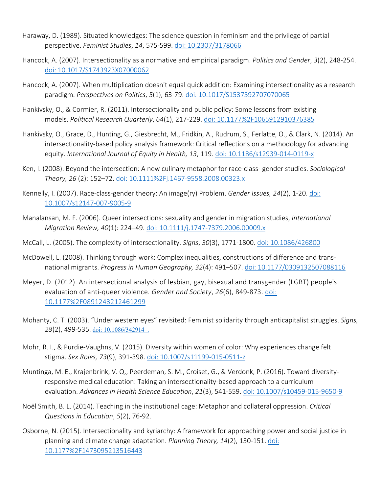- Haraway, D. (1989). Situated knowledges: The science question in feminism and the privilege of partial perspective. *Feminist Studies*, *14*, 575-599. [doi: 10.2307/3178066](https://www.jstor.org/stable/3178066)
- Hancock, A. (2007). Intersectionality as a normative and empirical paradigm. *Politics and Gender*, *3*(2), 248-254. [doi: 10.1017/S1743923X07000062](https://doi.org/10.1017/S1743923X07000062)
- Hancock, A. (2007). When multiplication doesn't equal quick addition: Examining intersectionality as a research paradigm. *Perspectives on Politics*, *5*(1), 63-79. [doi: 10.1017/S1537592707070065](https://doi.org/10.1017/S1537592707070065)
- Hankivsky, O., & Cormier, R. (2011). Intersectionality and public policy: Some lessons from existing models. *Political Research Quarterly*, *64*(1), 217-229. [doi: 10.1177%2F1065912910376385](https://doi.org/10.1177%2F1065912910376385)
- Hankivsky, O., Grace, D., Hunting, G., Giesbrecht, M., Fridkin, A., Rudrum, S., Ferlatte, O., & Clark, N. (2014). An intersectionality-based policy analysis framework: Critical reflections on a methodology for advancing equity. *International Journal of Equity in Health, 13*, 119. [doi: 10.1186/s12939-014-0119-x](https://doi.org/10.1186/s12939-014-0119-x)
- Ken, I. (2008). Beyond the intersection: A new culinary metaphor for race-class- gender studies. *Sociological Theory, 26* (2): 152–72. [doi: 10.1111%2Fj.1467-9558.2008.00323.x](https://doi.org/10.1111%2Fj.1467-9558.2008.00323.x)
- Kennelly, I. (2007). Race-class-gender theory: An image(ry) Problem. *Gender Issues, 24*(2), 1-20. [doi:](https://link.springer.com/article/10.1007/s12147-007-9005-9)  [10.1007/s12147-007-9005-9](https://link.springer.com/article/10.1007/s12147-007-9005-9)
- Manalansan, M. F. (2006). Queer intersections: sexuality and gender in migration studies, *International Migration Review, 40*(1): 224–49. [doi: 10.1111/j.1747-7379.2006.00009.x](https://doi.org/10.1111/j.1747-7379.2006.00009.x)
- McCall, L. (2005). The complexity of intersectionality. *Signs*, *30*(3), 1771-1800. [doi: 10.1086/426800](https://www.jstor.org/stable/10.1086/426800)
- McDowell, L. (2008). Thinking through work: Complex inequalities, constructions of difference and transnational migrants. *Progress in Human Geography, 32*(4): 491–507. [doi: 10.1177/0309132507088116](https://doi.org/10.1177/0309132507088116)
- Meyer, D. (2012). An intersectional analysis of lesbian, gay, bisexual and transgender (LGBT) people's evaluation of anti-queer violence. *Gender and Society*, *26*(6), 849-873. [doi:](https://doi.org/10.1177%2F0891243212461299)  [10.1177%2F0891243212461299](https://doi.org/10.1177%2F0891243212461299)
- Mohanty, C. T. (2003). "Under western eyes" revisited: Feminist solidarity through anticapitalist struggles. *Signs,*  28(2), 499-535. doi: 10.1086/342914.
- Mohr, R. I., & Purdie-Vaughns, V. (2015). Diversity within women of color: Why experiences change felt stigma. *Sex Roles, 73*(9), 391-398. [doi: 10.1007/s11199-015-0511-z](https://link.springer.com/article/10.1007/s11199-015-0511-z)
- Muntinga, M. E., Krajenbrink, V. Q., Peerdeman, S. M., Croiset, G., & Verdonk, P. (2016). Toward diversityresponsive medical education: Taking an intersectionality-based approach to a curriculum evaluation. *Advances in Health Science Education*, *21*(3), 541-559. [doi: 10.1007/s10459-015-9650-9](https://doi.org/10.1007/s10459-015-9650-9)
- Noël Smith, B. L. (2014). Teaching in the institutional cage: Metaphor and collateral oppression. *Critical Questions in Education*, *5*(2), 76-92.
- Osborne, N. (2015). Intersectionality and kyriarchy: A framework for approaching power and social justice in planning and climate change adaptation. *Planning Theory, 14*(2), 130-151. [doi:](https://doi.org/10.1177%2F1473095213516443)  [10.1177%2F1473095213516443](https://doi.org/10.1177%2F1473095213516443)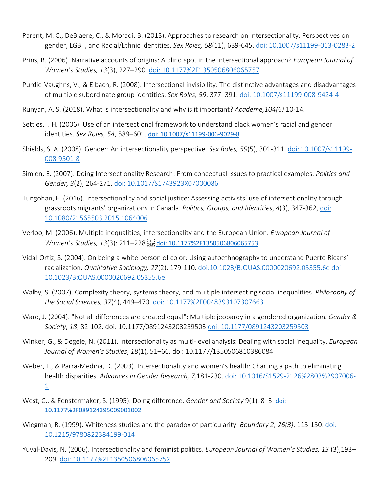- Parent, M. C., DeBlaere, C., & Moradi, B. (2013). Approaches to research on intersectionality: Perspectives on gender, LGBT, and Racial/Ethnic identities. *Sex Roles, 68*(11), 639-645. [doi: 10.1007/s11199-013-0283-2](https://psycnet.apa.org/doi/10.1007/s11199-013-0283-2)
- Prins, B. (2006). Narrative accounts of origins: A blind spot in the intersectional approach? *European Journal of Women's Studies, 13*(3), 227–290. [doi: 10.1177%2F1350506806065757](https://doi.org/10.1177%2F1350506806065757)
- Purdie-Vaughns, V., & Eibach, R. (2008). Intersectional invisibility: The distinctive advantages and disadvantages of multiple subordinate group identities. *Sex Roles, 59*, 377–391. [doi: 10.1007/s11199-008-9424-4](https://pdfs.semanticscholar.org/e961/3e98e20385f103ccc9a6fb02028446a01e31.pdf)
- Runyan, A. S. (2018). What is intersectionality and why is it important? *Academe,104(*6*)* 10-14.
- Settles, I. H. (2006). Use of an intersectional framework to understand black women's racial and gender identities. *Sex Roles, 54*, 589–601. [doi: 10.1007/s11199-006-9029-8](https://psycnet.apa.org/doi/10.1007/s11199-006-9029-8)
- Shields, S. A. (2008). Gender: An intersectionality perspective. *Sex Roles, 59*(5), 301-311. [doi: 10.1007/s11199-](https://psycnet.apa.org/doi/10.1007/s11199-008-9501-8) [008-9501-8](https://psycnet.apa.org/doi/10.1007/s11199-008-9501-8)
- Simien, E. (2007). Doing Intersectionality Research: From conceptual issues to practical examples. *Politics and Gender, 3*(2), 264-271. [doi: 10.1017/S1743923X07000086](https://doi.org/10.1017/S1743923X07000086)
- Tungohan, E. (2016). Intersectionality and social justice: Assessing activists' use of intersectionality through grassroots migrants' organizations in Canada. *Politics, Groups, and Identities*, *4*(3), 347-362, [doi:](https://doi.org/10.1080/21565503.2015.1064006)  [10.1080/21565503.2015.1064006](https://doi.org/10.1080/21565503.2015.1064006)
- Verloo, M. (2006). Multiple inequalities, intersectionality and the European Union. *European Journal of*  Women's Studies, 13(3): 211–228. Fri[doi: 10.1177%2F1350506806065753](https://doi.org/10.1177%2F1350506806065753)
- Vidal-Ortiz, S. (2004). On being a white person of color: Using autoethnography to understand Puerto Ricans' racialization. *Qualitative Sociology, 27*(2), 179-110. [doi:10.1023/B:QUAS.0000020692.05355.6e](https://doi.org/10.1023/B:QUAS.0000020692.05355.6e) [doi:](https://link.springer.com/article/10.1023/B:QUAS.0000020692.05355.6e)  [10.1023/B:QUAS.0000020692.05355.6e](https://link.springer.com/article/10.1023/B:QUAS.0000020692.05355.6e)
- Walby, S. (2007). Complexity theory, systems theory, and multiple intersecting social inequalities. *Philosophy of the Social Sciences, 37*(4), 449–470. [doi: 10.1177%2F0048393107307663](https://doi.org/10.1177%2F0048393107307663)
- Ward, J. (2004). "Not all differences are created equal": Multiple jeopardy in a gendered organization. *Gender & Society*, *18*, 82-102. doi: [10.1177/0891243203259503](http://dx.doi.org/10.1177/0891243203259503) [doi: 10.1177/0891243203259503](https://www.jstor.org/stable/4149375)
- Winker, G., & Degele, N. (2011). Intersectionality as multi-level analysis: Dealing with social inequality. *European Journal of Women's Studies*, *18*(1), 51–66. [doi: 10.1177/1350506810386084](https://doi.org/10.1177/1350506810386084)
- Weber, L., & Parra-Medina, D. (2003). Intersectionality and women's health: Charting a path to eliminating health disparities. *Advances in Gender Research, 7,*181-230. [doi: 10.1016/S1529-2126%2803%2907006-](https://www.emeraldinsight.com/doi/abs/10.1016/S1529-2126%2803%2907006-1) [1](https://www.emeraldinsight.com/doi/abs/10.1016/S1529-2126%2803%2907006-1)
- West, C., & Fenstermaker, S. (1995). Doing difference. *Gender and Society* 9(1), 8–3. [doi:](https://doi.org/10.1177%2F089124395009001002)  [10.1177%2F089124395009001002](https://doi.org/10.1177%2F089124395009001002)
- Wiegman, R. (1999). Whiteness studies and the paradox of particularity. *Boundary 2, 26(3)*, 115-150. [doi:](https://doi.org/10.1215/9780822384199-014)  [10.1215/9780822384199-014](https://doi.org/10.1215/9780822384199-014)
- Yuval-Davis, N. (2006). Intersectionality and feminist politics. *European Journal of Women's Studies, 13* (3),193– 209. [doi: 10.1177%2F1350506806065752](https://doi.org/10.1177%2F1350506806065752)